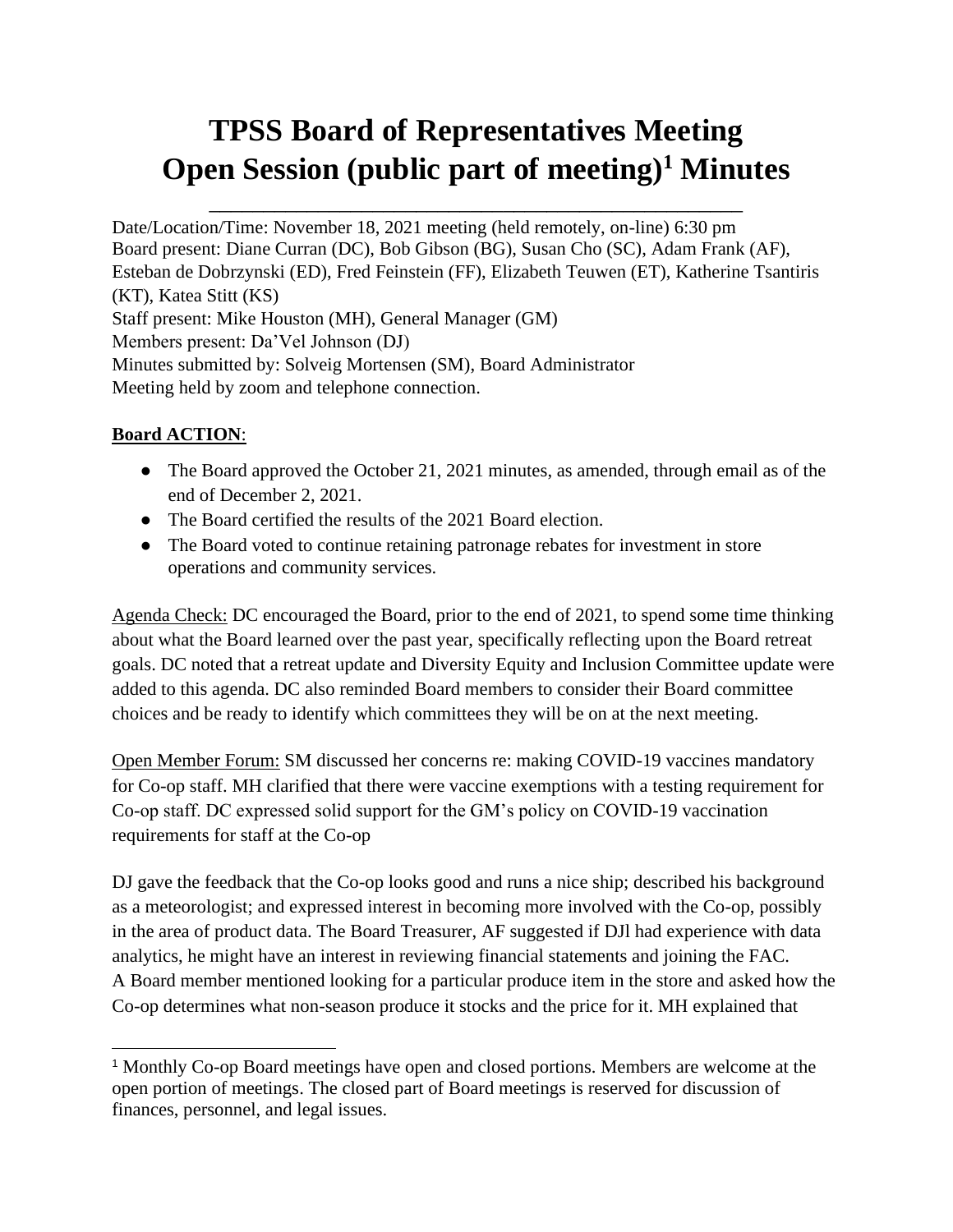# **TPSS Board of Representatives Meeting Open Session (public part of meeting)<sup>1</sup> Minutes**

\_\_\_\_\_\_\_\_\_\_\_\_\_\_\_\_\_\_\_\_\_\_\_\_\_\_\_\_\_\_\_\_\_\_\_\_\_\_\_\_\_\_\_\_\_\_\_\_\_

Date/Location/Time: November 18, 2021 meeting (held remotely, on-line) 6:30 pm Board present: Diane Curran (DC), Bob Gibson (BG), Susan Cho (SC), Adam Frank (AF), Esteban de Dobrzynski (ED), Fred Feinstein (FF), Elizabeth Teuwen (ET), Katherine Tsantiris (KT), Katea Stitt (KS) Staff present: Mike Houston (MH), General Manager (GM) Members present: Da'Vel Johnson (DJ) Minutes submitted by: Solveig Mortensen (SM), Board Administrator Meeting held by zoom and telephone connection.

## **Board ACTION**:

- The Board approved the October 21, 2021 minutes, as amended, through email as of the end of December 2, 2021.
- The Board certified the results of the 2021 Board election.
- The Board voted to continue retaining patronage rebates for investment in store operations and community services.

Agenda Check: DC encouraged the Board, prior to the end of 2021, to spend some time thinking about what the Board learned over the past year, specifically reflecting upon the Board retreat goals. DC noted that a retreat update and Diversity Equity and Inclusion Committee update were added to this agenda. DC also reminded Board members to consider their Board committee choices and be ready to identify which committees they will be on at the next meeting.

Open Member Forum: SM discussed her concerns re: making COVID-19 vaccines mandatory for Co-op staff. MH clarified that there were vaccine exemptions with a testing requirement for Co-op staff. DC expressed solid support for the GM's policy on COVID-19 vaccination requirements for staff at the Co-op

DJ gave the feedback that the Co-op looks good and runs a nice ship; described his background as a meteorologist; and expressed interest in becoming more involved with the Co-op, possibly in the area of product data. The Board Treasurer, AF suggested if DJl had experience with data analytics, he might have an interest in reviewing financial statements and joining the FAC. A Board member mentioned looking for a particular produce item in the store and asked how the Co-op determines what non-season produce it stocks and the price for it. MH explained that

<sup>1</sup> Monthly Co-op Board meetings have open and closed portions. Members are welcome at the open portion of meetings. The closed part of Board meetings is reserved for discussion of finances, personnel, and legal issues.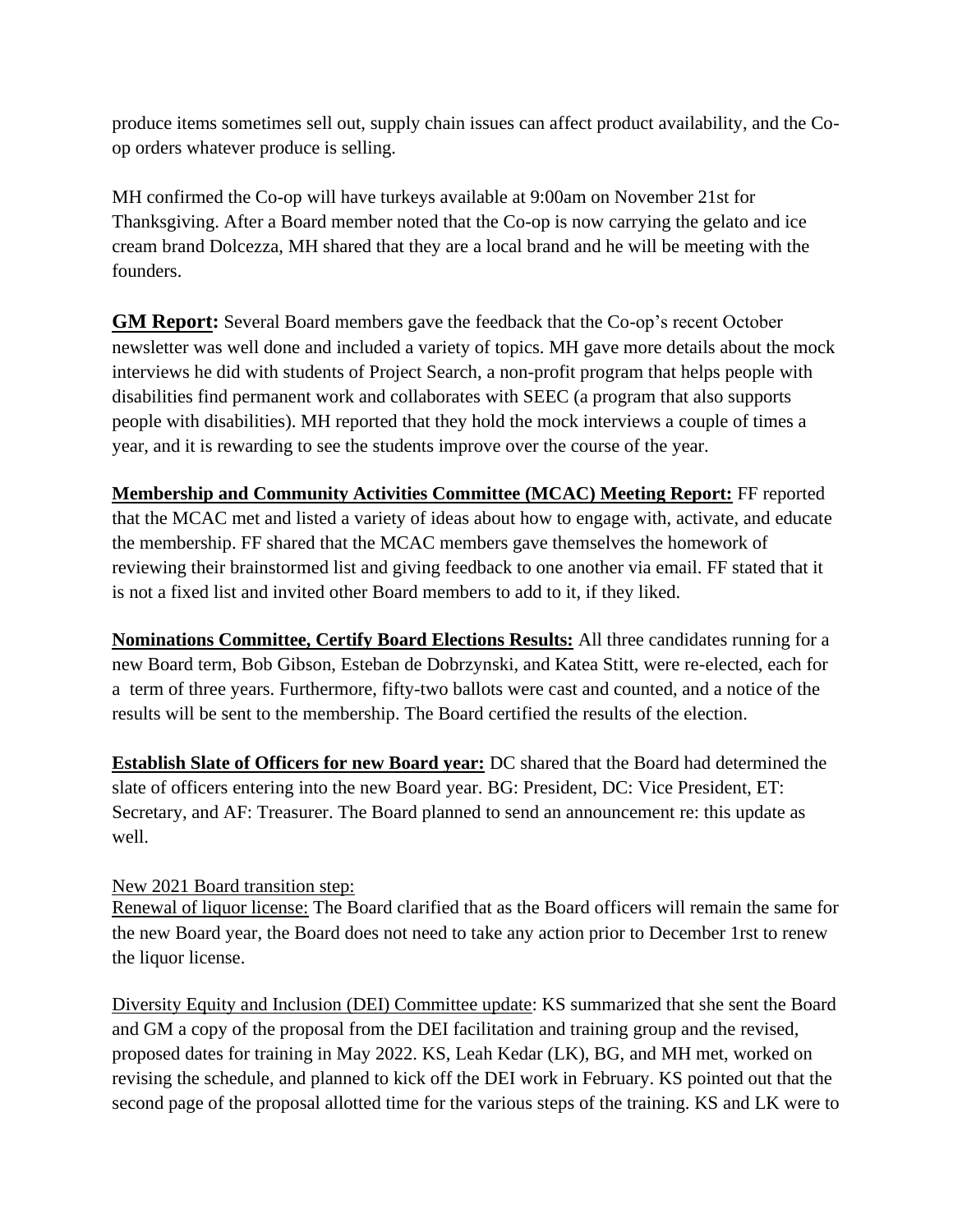produce items sometimes sell out, supply chain issues can affect product availability, and the Coop orders whatever produce is selling.

MH confirmed the Co-op will have turkeys available at 9:00am on November 21st for Thanksgiving. After a Board member noted that the Co-op is now carrying the gelato and ice cream brand Dolcezza, MH shared that they are a local brand and he will be meeting with the founders.

**GM Report:** Several Board members gave the feedback that the Co-op's recent October newsletter was well done and included a variety of topics. MH gave more details about the mock interviews he did with students of Project Search, a non-profit program that helps people with disabilities find permanent work and collaborates with SEEC (a program that also supports people with disabilities). MH reported that they hold the mock interviews a couple of times a year, and it is rewarding to see the students improve over the course of the year.

**Membership and Community Activities Committee (MCAC) Meeting Report:** FF reported that the MCAC met and listed a variety of ideas about how to engage with, activate, and educate the membership. FF shared that the MCAC members gave themselves the homework of reviewing their brainstormed list and giving feedback to one another via email. FF stated that it is not a fixed list and invited other Board members to add to it, if they liked.

**Nominations Committee, Certify Board Elections Results:** All three candidates running for a new Board term, Bob Gibson, Esteban de Dobrzynski, and Katea Stitt, were re-elected, each for a term of three years. Furthermore, fifty-two ballots were cast and counted, and a notice of the results will be sent to the membership. The Board certified the results of the election.

**Establish Slate of Officers for new Board year:** DC shared that the Board had determined the slate of officers entering into the new Board year. BG: President, DC: Vice President, ET: Secretary, and AF: Treasurer. The Board planned to send an announcement re: this update as well.

## New 2021 Board transition step:

Renewal of liquor license: The Board clarified that as the Board officers will remain the same for the new Board year, the Board does not need to take any action prior to December 1rst to renew the liquor license.

Diversity Equity and Inclusion (DEI) Committee update: KS summarized that she sent the Board and GM a copy of the proposal from the DEI facilitation and training group and the revised, proposed dates for training in May 2022. KS, Leah Kedar (LK), BG, and MH met, worked on revising the schedule, and planned to kick off the DEI work in February. KS pointed out that the second page of the proposal allotted time for the various steps of the training. KS and LK were to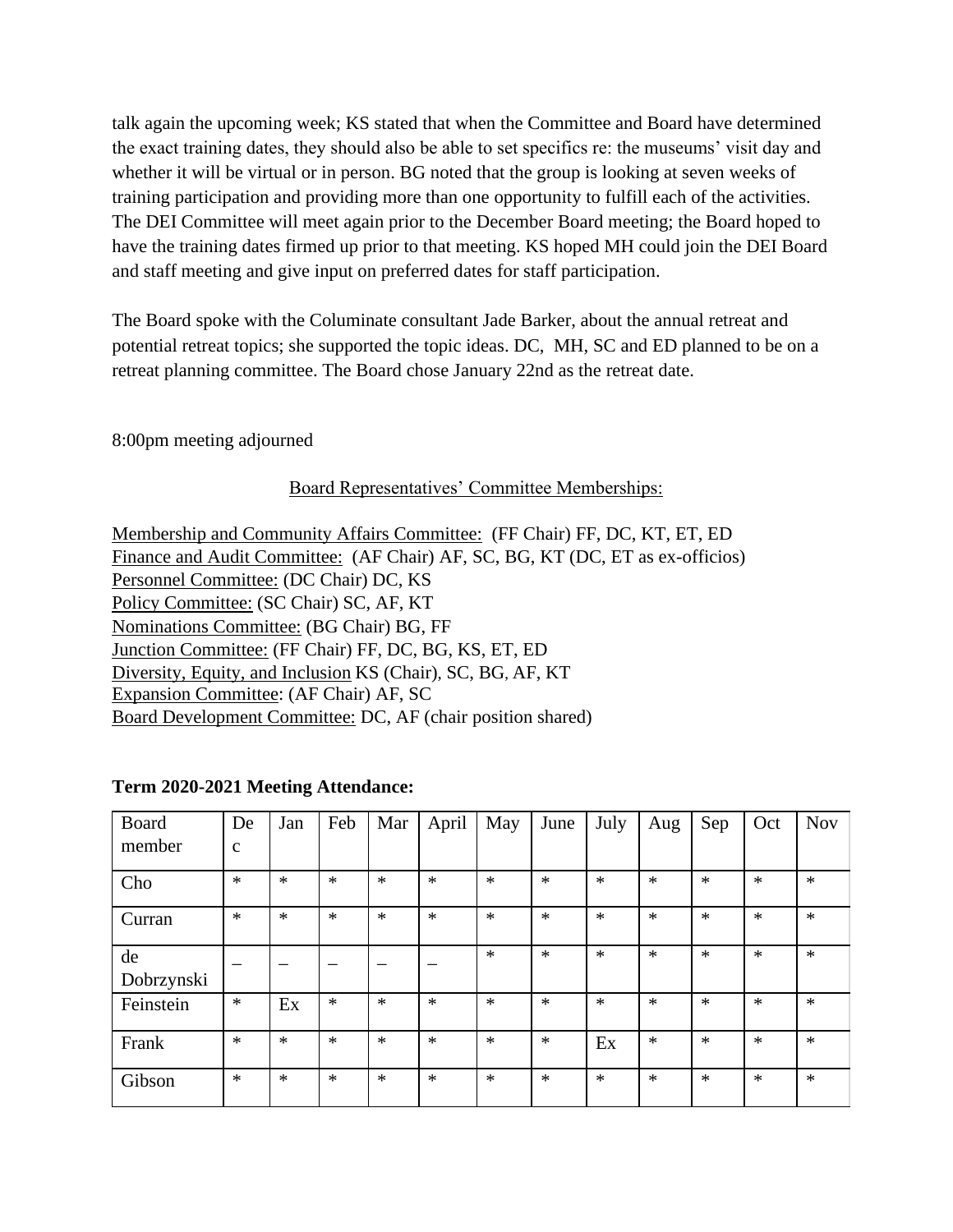talk again the upcoming week; KS stated that when the Committee and Board have determined the exact training dates, they should also be able to set specifics re: the museums' visit day and whether it will be virtual or in person. BG noted that the group is looking at seven weeks of training participation and providing more than one opportunity to fulfill each of the activities. The DEI Committee will meet again prior to the December Board meeting; the Board hoped to have the training dates firmed up prior to that meeting. KS hoped MH could join the DEI Board and staff meeting and give input on preferred dates for staff participation.

The Board spoke with the Columinate consultant Jade Barker, about the annual retreat and potential retreat topics; she supported the topic ideas. DC, MH, SC and ED planned to be on a retreat planning committee. The Board chose January 22nd as the retreat date.

### 8:00pm meeting adjourned

#### Board Representatives' Committee Memberships:

Membership and Community Affairs Committee: (FF Chair) FF, DC, KT, ET, ED Finance and Audit Committee: (AF Chair) AF, SC, BG, KT (DC, ET as ex-officios) Personnel Committee: (DC Chair) DC, KS Policy Committee: (SC Chair) SC, AF, KT Nominations Committee: (BG Chair) BG, FF Junction Committee: (FF Chair) FF, DC, BG, KS, ET, ED Diversity, Equity, and Inclusion KS (Chair), SC, BG, AF, KT Expansion Committee: (AF Chair) AF, SC Board Development Committee: DC, AF (chair position shared)

| Board      | De           | Jan    | Feb    | Mar    | April  | May    | June   | July   | Aug    | Sep    | Oct    | <b>Nov</b> |
|------------|--------------|--------|--------|--------|--------|--------|--------|--------|--------|--------|--------|------------|
| member     | $\mathbf{C}$ |        |        |        |        |        |        |        |        |        |        |            |
| Cho        | $\ast$       | $\ast$ | $\ast$ | $\ast$ | $\ast$ | $\ast$ | $\ast$ | $\ast$ | $\ast$ | $\ast$ | $\ast$ | $\ast$     |
| Curran     | $\ast$       | $\ast$ | $\ast$ | $\ast$ | $\ast$ | $\ast$ | $\ast$ | $\ast$ | $\ast$ | $\ast$ | $\ast$ | $\ast$     |
| de         |              |        |        |        |        | $\ast$ | $\ast$ | $\ast$ | $\ast$ | $\ast$ | $\ast$ | $\ast$     |
| Dobrzynski |              |        |        |        |        |        |        |        |        |        |        |            |
| Feinstein  | $\ast$       | Ex     | $\ast$ | $\ast$ | $\ast$ | $\ast$ | $\ast$ | $\ast$ | $\ast$ | $\ast$ | $\ast$ | $\ast$     |
| Frank      | $\ast$       | $\ast$ | $\ast$ | $*$    | $\ast$ | $\ast$ | $\ast$ | Ex     | $\ast$ | $\ast$ | $\ast$ | $\ast$     |
| Gibson     | $\ast$       | $\ast$ | $\ast$ | $\ast$ | $\ast$ | $\ast$ | $\ast$ | $\ast$ | $\ast$ | $\ast$ | $\ast$ | $\ast$     |

#### Term 2020-2021 Meeting Attendance: